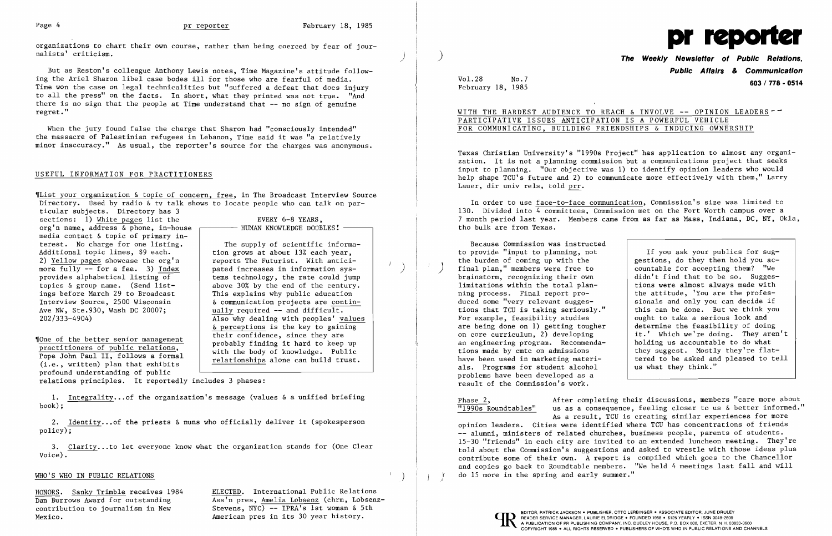organizations to chart their own course, rather than being coerced by fear of jour-<br>nalists' criticism. nalists' criticism.  $\left( \begin{array}{ccc} 0 & 0 & 0 & 0 \\ 0 & 0 & 0 & 0 \\ 0 & 0 & 0 & 0 \\ 0 & 0 & 0 & 0 \\ 0 & 0 & 0 & 0 \\ 0 & 0 & 0 & 0 \\ 0 & 0 & 0 & 0 \\ 0 & 0 & 0 & 0 \\ 0 & 0 & 0 & 0 \\ 0 & 0 & 0 & 0 \\ 0 & 0 & 0 & 0 \\ 0 & 0 & 0 & 0 \\ 0 & 0 & 0 & 0 \\ 0 & 0 & 0 & 0 \\ 0 & 0 & 0 & 0 & 0 \\ 0 & 0 &$ 

But as Reston's colleague Anthony Lewis notes, Time Magazine's attitude following the Ariel Sharon libel case bodes ill for those who are fearful of media. Time won the case on legal technicalities but "suffered a defeat that does injury to all the press" on the facts. In short, what they printed was not true. "And there is no sign that the people at Time understand that -- no sign of genuine regret."

When the jury found false the charge that Sharon had "consciously intended" the massacre of Palestinian refugees in Lebanon, Time said it was "a relatively minor inaccuracy." As usual, the reporter's source for the charges was anonymous.

### USEFUL INFORMATION FOR PRACTITIONERS

~IList your organization & topic of concern, free, in The Broadcast Interview Source Directory. Used by radio & tv talk shows to locate people who can talk on par-

1. Integrality... of the organization's message (values & a unified briefing book);

2. Identity... of the priests & nuns who officially deliver it (spokesperson policy); Ϊ

3. Clarity...to let everyone know what the organization stands for (One Clear Voice). ٦

ticular subjects. Directory has 3 sections: 1) White pages list the  $EVERY 6-8 YEARS$ , org'n name, address  $\&$  phone, in-house media contact & topic of primary in terest. No charge for one listing. Additional topic lines, \$9 each. 2) Yellow pages showcase the org'n more fully  $-$  for a fee. 3) Index<br>provides alphabetical listing of topics & group name. (Send list ings before March 29 to Broadcast Interview Source, 2500 Wisconsin Ave NW, Ste.930, Wash DC 20007; 202/333-4904)

## WITH THE HARDEST AUDIENCE TO REACH & INVOLVE -- OPINION LEADERS--PARTICIPATIVE ISSUES ANTICIPATION IS A POWERFUL VEHICLE FOR COMMUNICATING, BUILDING FRIENDSHIPS & INDUCING OWNERSHIP

 If you ask your publics for suggestions, do they then hold you ac-<br>countable for accepting them? "We sionals and only you can decide if<br>this can be done. But we think you on core curriculum, 2) developing  $\begin{array}{c|c} \n\end{array}$  it.' Which we're doing. They aren't an engineering program. Recommenda-  $\begin{array}{c|c} \n\end{array}$  holding us accountable to do what tered to be asked and pleased to tell<br>us what they think."

profound understanding of public

- HUMAN KNOWLEDGE DOUBLES! -

The supply of scientific informa- $\begin{array}{c|c}\n\hline\n\end{array}$  tion grows at about 13% each year, reports The Futurist. With anticipated increases in information systems technology, the rate could jump above 30% by the end of the century. This explains why public education **6** communication projects are contin ually required -- and difficult. Also why dealing with peoples' values  $&$  perceptions is the key to gaining<br>their confidence, since they are "
<u>Their</u> confidence, since they are<br>
practitioners of public relations,<br>
Pope John Paul II, follows a formal<br>
(i.e., written) plan that exhibits<br>
Their confidence, since they are<br>
probably finding it hard to keep up<br>
with

relations principles. It reportedly includes 3 phases:

### WHO'S WHO IN PUBLIC RELATIONS

HONORS. Sanky Trimble receives 1984 ELECTED. International Public Relations Dan Burrows Award for outstanding Ass'n pres, Amelia Lobsenz (chrm, Lobsenzcontribution to journalism in New  $S$ tevens, NYC) -- IPRA's 1st woman & 5th Mexico. American pres in its 30 year history.

Phase 2, After completing their discussions, members "care more about "1990s Roundtables" us as a consequence, feeling closer to us & better informed." opinion leaders. Cities were identified where TCU has concentrations of friends -- alumni, ministers of related churches, business people, parents of students. 15-30 "friends" in each city are invited to an extended luncheon meeting. They're told about the Commission's suggestions and asked to wrestle with those ideas plus contribute some of their own. A report is compiled which goes to the Chancellor and copies go back to Roundtable members. "We held 4 meetings last fall and will ) do 15 more in the spring and early summer." *<sup>i</sup>*

# ) **The Weekly Newsletter of Public Relations, Public Affairs** *&* **Communication**  Vol.28 No.7 **603/ 778 - 0514** February 18, 1985



Texas Christian University's "1990s Project" has application to almost any organization. It is not a planning commission but a communications project that seeks input to planning. "Our objective was 1) to identify opinion leaders who would help shape TCU's future and 2) to communicate more effectively with them," Larry Lauer, dir univ rels, told prr.

In order to use face-to-face communication, Commission's size was limited to 130. Divided into 4 committees, Commission met on the Fort Worth campus over a 7 month period last year. Members came from as far as Mass, Indiana, DC, NY, Okla, tho bulk are from Texas.

Because Commission was instructed to provide "input to planning, not final plan," members were free to brainstorm, recognizing their own brainstorm, recognizing their own  $\left\{\n\begin{array}{c}\n\text{didn'}\text{t find that to be so.}\n\text{Suggest}\n\end{array}\n\right.\n\left.\n\begin{array}{c}\n\text{didn'}\text{t find that to be so.}\n\end{array}\n\right.\n\left.\n\begin{array}{c}\n\text{Suggest}\n\end{array}\n\right.$ limitations within the total plan-<br>
ning process. Final report pro-<br>
the attitude, 'You are the profesning process. Final report pro-<br>duced some "very relevant sugges-<br>sionals and only you can decide if tions that TCU is taking seriously." | this can be done. But we think y<br>For example, feasibility studies | ought to take a serious look and For example, feasibility studies  $\begin{array}{|l|l|}\n\hline\n\end{array}$  ought to take a serious look and are being done on 1) getting tougher determine the feasibility of doing are being done on  $1$ ) getting tougher an engineering program. Recommendations made by cmte on admissions  $\begin{array}{c|c} \text{they suggest. Mostly they're flat-} \\ \text{have been used in marketing matteri-} \end{array}$ als. Programs for student alcohol problems have been developed as a result of the Commission's work.

As a result, TCU is creating similar experiences for more